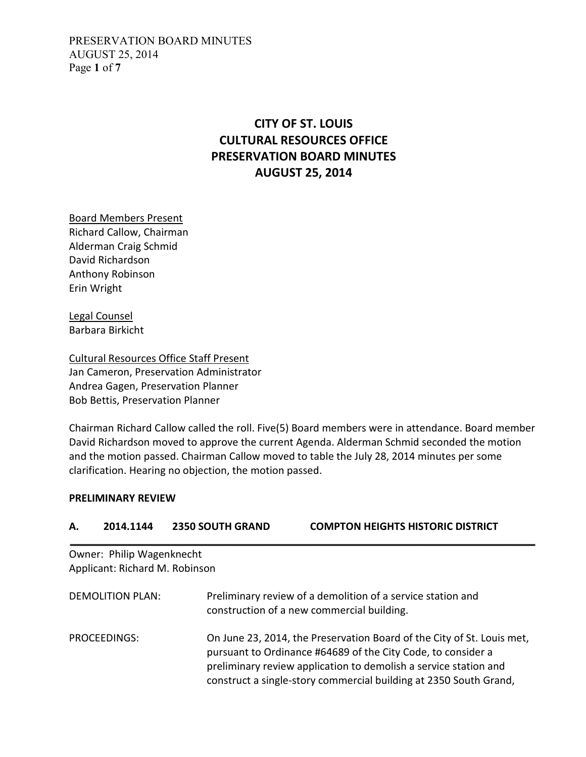PRESERVATION BOARD MINUTES AUGUST 25, 2014 Page **1** of **7**

# **CITY OF ST. LOUIS CULTURAL RESOURCES OFFICE PRESERVATION BOARD MINUTES AUGUST 25, 2014**

Board Members Present Richard Callow, Chairman Alderman Craig Schmid David Richardson Anthony Robinson Erin Wright

Legal Counsel Barbara Birkicht

Cultural Resources Office Staff Present Jan Cameron, Preservation Administrator Andrea Gagen, Preservation Planner Bob Bettis, Preservation Planner

Chairman Richard Callow called the roll. Five(5) Board members were in attendance. Board member David Richardson moved to approve the current Agenda. Alderman Schmid seconded the motion and the motion passed. Chairman Callow moved to table the July 28, 2014 minutes per some clarification. Hearing no objection, the motion passed.

#### **PRELIMINARY REVIEW**

| А.                      | 2014.1144                      | <b>2350 SOUTH GRAND</b> | <b>COMPTON HEIGHTS HISTORIC DISTRICT</b>                                                                                                                                                                                                                                        |
|-------------------------|--------------------------------|-------------------------|---------------------------------------------------------------------------------------------------------------------------------------------------------------------------------------------------------------------------------------------------------------------------------|
|                         | Owner: Philip Wagenknecht      |                         |                                                                                                                                                                                                                                                                                 |
|                         | Applicant: Richard M. Robinson |                         |                                                                                                                                                                                                                                                                                 |
| <b>DEMOLITION PLAN:</b> |                                |                         | Preliminary review of a demolition of a service station and<br>construction of a new commercial building.                                                                                                                                                                       |
|                         | <b>PROCEEDINGS:</b>            |                         | On June 23, 2014, the Preservation Board of the City of St. Louis met,<br>pursuant to Ordinance #64689 of the City Code, to consider a<br>preliminary review application to demolish a service station and<br>construct a single-story commercial building at 2350 South Grand, |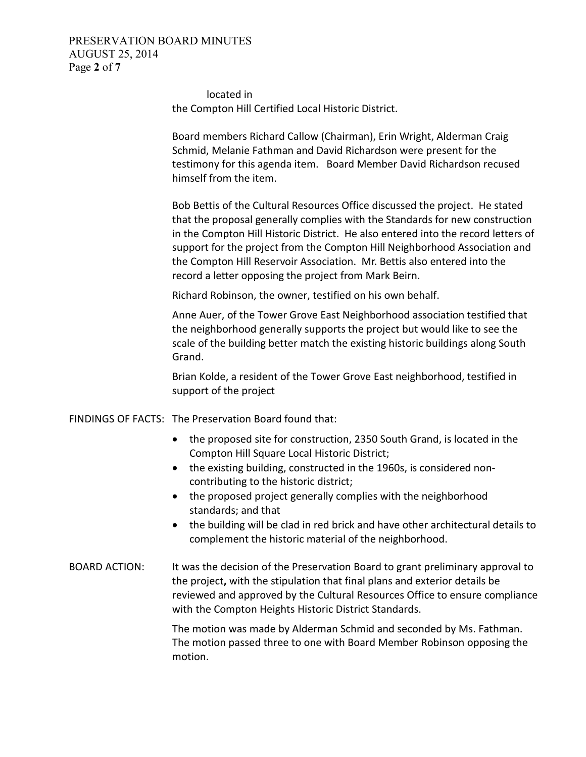### PRESERVATION BOARD MINUTES AUGUST 25, 2014 Page **2** of **7**

located in the Compton Hill Certified Local Historic District.

Board members Richard Callow (Chairman), Erin Wright, Alderman Craig Schmid, Melanie Fathman and David Richardson were present for the testimony for this agenda item. Board Member David Richardson recused himself from the item.

Bob Bettis of the Cultural Resources Office discussed the project. He stated that the proposal generally complies with the Standards for new construction in the Compton Hill Historic District. He also entered into the record letters of support for the project from the Compton Hill Neighborhood Association and the Compton Hill Reservoir Association. Mr. Bettis also entered into the record a letter opposing the project from Mark Beirn.

Richard Robinson, the owner, testified on his own behalf.

Anne Auer, of the Tower Grove East Neighborhood association testified that the neighborhood generally supports the project but would like to see the scale of the building better match the existing historic buildings along South Grand.

Brian Kolde, a resident of the Tower Grove East neighborhood, testified in support of the project

FINDINGS OF FACTS: The Preservation Board found that:

- the proposed site for construction, 2350 South Grand, is located in the Compton Hill Square Local Historic District;
- the existing building, constructed in the 1960s, is considered noncontributing to the historic district;
- the proposed project generally complies with the neighborhood standards; and that
- the building will be clad in red brick and have other architectural details to complement the historic material of the neighborhood.
- BOARD ACTION: It was the decision of the Preservation Board to grant preliminary approval to the project**,** with the stipulation that final plans and exterior details be reviewed and approved by the Cultural Resources Office to ensure compliance with the Compton Heights Historic District Standards.

The motion was made by Alderman Schmid and seconded by Ms. Fathman. The motion passed three to one with Board Member Robinson opposing the motion.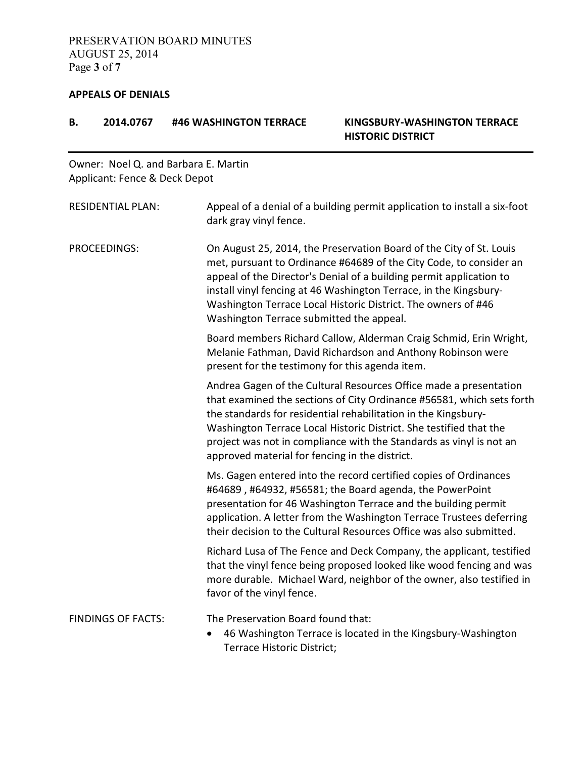#### **APPEALS OF DENIALS**

| В.           | 2014.0767                     | #46 WASHINGTON TERRACE                          | <b>KINGSBURY-WASHINGTON TERRACE</b><br><b>HISTORIC DISTRICT</b>                                                                                                                                                                                                                                                                                           |
|--------------|-------------------------------|-------------------------------------------------|-----------------------------------------------------------------------------------------------------------------------------------------------------------------------------------------------------------------------------------------------------------------------------------------------------------------------------------------------------------|
|              | Applicant: Fence & Deck Depot | Owner: Noel Q. and Barbara E. Martin            |                                                                                                                                                                                                                                                                                                                                                           |
|              | <b>RESIDENTIAL PLAN:</b>      | dark gray vinyl fence.                          | Appeal of a denial of a building permit application to install a six-foot                                                                                                                                                                                                                                                                                 |
| PROCEEDINGS: |                               | Washington Terrace submitted the appeal.        | On August 25, 2014, the Preservation Board of the City of St. Louis<br>met, pursuant to Ordinance #64689 of the City Code, to consider an<br>appeal of the Director's Denial of a building permit application to<br>install vinyl fencing at 46 Washington Terrace, in the Kingsbury-<br>Washington Terrace Local Historic District. The owners of #46    |
|              |                               | present for the testimony for this agenda item. | Board members Richard Callow, Alderman Craig Schmid, Erin Wright,<br>Melanie Fathman, David Richardson and Anthony Robinson were                                                                                                                                                                                                                          |
|              |                               | approved material for fencing in the district.  | Andrea Gagen of the Cultural Resources Office made a presentation<br>that examined the sections of City Ordinance #56581, which sets forth<br>the standards for residential rehabilitation in the Kingsbury-<br>Washington Terrace Local Historic District. She testified that the<br>project was not in compliance with the Standards as vinyl is not an |
|              |                               |                                                 | Ms. Gagen entered into the record certified copies of Ordinances<br>#64689, #64932, #56581; the Board agenda, the PowerPoint<br>presentation for 46 Washington Terrace and the building permit<br>application. A letter from the Washington Terrace Trustees deferring<br>their decision to the Cultural Resources Office was also submitted.             |
|              |                               | favor of the vinyl fence.                       | Richard Lusa of The Fence and Deck Company, the applicant, testified<br>that the vinyl fence being proposed looked like wood fencing and was<br>more durable. Michael Ward, neighbor of the owner, also testified in                                                                                                                                      |
|              | <b>FINDINGS OF FACTS:</b>     | The Preservation Board found that:              |                                                                                                                                                                                                                                                                                                                                                           |

• 46 Washington Terrace is located in the Kingsbury-Washington Terrace Historic District;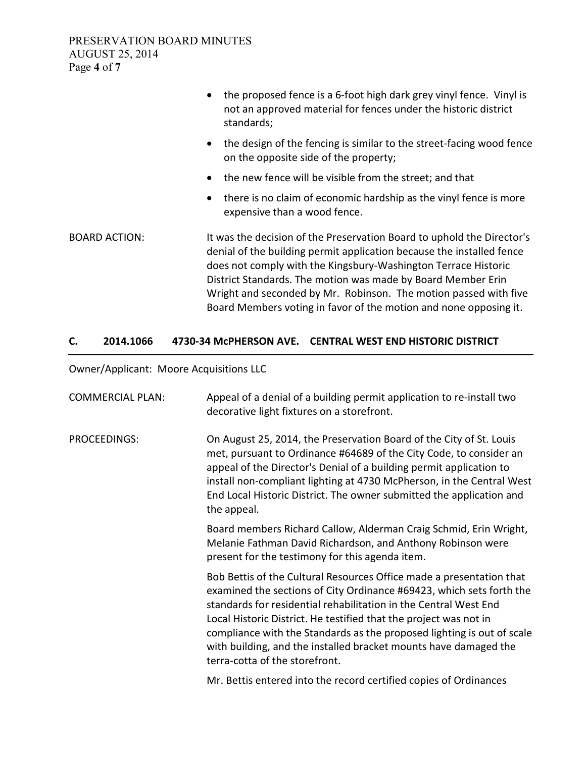|                      | the proposed fence is a 6-foot high dark grey vinyl fence. Vinyl is<br>$\bullet$<br>not an approved material for fences under the historic district<br>standards;                                                                                                                                                                                                                                                          |  |
|----------------------|----------------------------------------------------------------------------------------------------------------------------------------------------------------------------------------------------------------------------------------------------------------------------------------------------------------------------------------------------------------------------------------------------------------------------|--|
|                      | the design of the fencing is similar to the street-facing wood fence<br>$\bullet$<br>on the opposite side of the property;                                                                                                                                                                                                                                                                                                 |  |
|                      | the new fence will be visible from the street; and that                                                                                                                                                                                                                                                                                                                                                                    |  |
|                      | there is no claim of economic hardship as the vinyl fence is more<br>$\bullet$<br>expensive than a wood fence.                                                                                                                                                                                                                                                                                                             |  |
| <b>BOARD ACTION:</b> | It was the decision of the Preservation Board to uphold the Director's<br>denial of the building permit application because the installed fence<br>does not comply with the Kingsbury-Washington Terrace Historic<br>District Standards. The motion was made by Board Member Erin<br>Wright and seconded by Mr. Robinson. The motion passed with five<br>Board Members voting in favor of the motion and none opposing it. |  |

# **C. 2014.1066 4730-34 McPHERSON AVE. CENTRAL WEST END HISTORIC DISTRICT**

Owner/Applicant: Moore Acquisitions LLC

| <b>COMMERCIAL PLAN:</b> | Appeal of a denial of a building permit application to re-install two<br>decorative light fixtures on a storefront.                                                                                                                                                                                                                                                                                                                                                   |
|-------------------------|-----------------------------------------------------------------------------------------------------------------------------------------------------------------------------------------------------------------------------------------------------------------------------------------------------------------------------------------------------------------------------------------------------------------------------------------------------------------------|
| PROCEEDINGS:            | On August 25, 2014, the Preservation Board of the City of St. Louis<br>met, pursuant to Ordinance #64689 of the City Code, to consider an<br>appeal of the Director's Denial of a building permit application to<br>install non-compliant lighting at 4730 McPherson, in the Central West<br>End Local Historic District. The owner submitted the application and<br>the appeal.                                                                                      |
|                         | Board members Richard Callow, Alderman Craig Schmid, Erin Wright,<br>Melanie Fathman David Richardson, and Anthony Robinson were<br>present for the testimony for this agenda item.                                                                                                                                                                                                                                                                                   |
|                         | Bob Bettis of the Cultural Resources Office made a presentation that<br>examined the sections of City Ordinance #69423, which sets forth the<br>standards for residential rehabilitation in the Central West End<br>Local Historic District. He testified that the project was not in<br>compliance with the Standards as the proposed lighting is out of scale<br>with building, and the installed bracket mounts have damaged the<br>terra-cotta of the storefront. |
|                         | Mr. Bettis entered into the record certified copies of Ordinances                                                                                                                                                                                                                                                                                                                                                                                                     |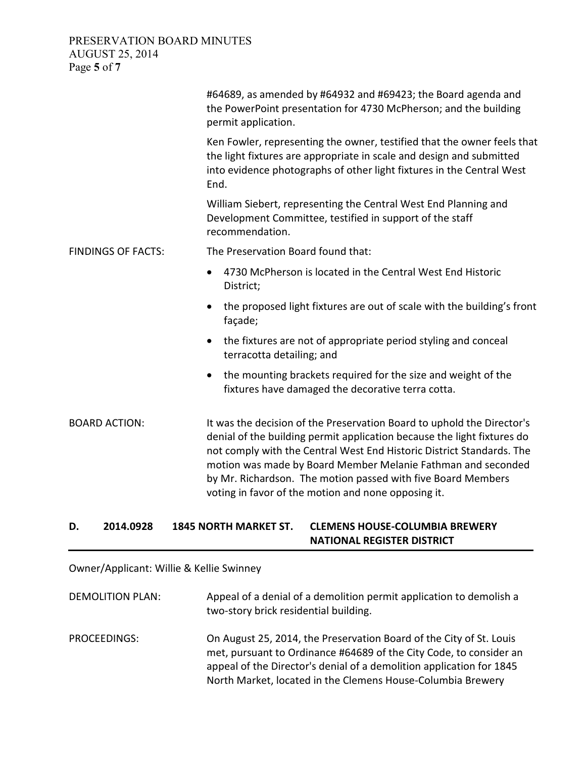### PRESERVATION BOARD MINUTES AUGUST 25, 2014 Page **5** of **7**

|                           | #64689, as amended by #64932 and #69423; the Board agenda and<br>the PowerPoint presentation for 4730 McPherson; and the building<br>permit application.                                                                                                                                                                                                                                                          |  |
|---------------------------|-------------------------------------------------------------------------------------------------------------------------------------------------------------------------------------------------------------------------------------------------------------------------------------------------------------------------------------------------------------------------------------------------------------------|--|
|                           | Ken Fowler, representing the owner, testified that the owner feels that<br>the light fixtures are appropriate in scale and design and submitted<br>into evidence photographs of other light fixtures in the Central West<br>End.                                                                                                                                                                                  |  |
|                           | William Siebert, representing the Central West End Planning and<br>Development Committee, testified in support of the staff<br>recommendation.                                                                                                                                                                                                                                                                    |  |
| <b>FINDINGS OF FACTS:</b> | The Preservation Board found that:                                                                                                                                                                                                                                                                                                                                                                                |  |
|                           | 4730 McPherson is located in the Central West End Historic<br>$\bullet$<br>District;                                                                                                                                                                                                                                                                                                                              |  |
|                           | the proposed light fixtures are out of scale with the building's front<br>$\bullet$<br>façade;                                                                                                                                                                                                                                                                                                                    |  |
|                           | the fixtures are not of appropriate period styling and conceal<br>$\bullet$<br>terracotta detailing; and                                                                                                                                                                                                                                                                                                          |  |
|                           | the mounting brackets required for the size and weight of the<br>$\bullet$<br>fixtures have damaged the decorative terra cotta.                                                                                                                                                                                                                                                                                   |  |
| <b>BOARD ACTION:</b>      | It was the decision of the Preservation Board to uphold the Director's<br>denial of the building permit application because the light fixtures do<br>not comply with the Central West End Historic District Standards. The<br>motion was made by Board Member Melanie Fathman and seconded<br>by Mr. Richardson. The motion passed with five Board Members<br>voting in favor of the motion and none opposing it. |  |

### **D. 2014.0928 1845 NORTH MARKET ST. CLEMENS HOUSE-COLUMBIA BREWERY NATIONAL REGISTER DISTRICT**

Owner/Applicant: Willie & Kellie Swinney

DEMOLITION PLAN: Appeal of a denial of a demolition permit application to demolish a two-story brick residential building. PROCEEDINGS: On August 25, 2014, the Preservation Board of the City of St. Louis met, pursuant to Ordinance #64689 of the City Code, to consider an appeal of the Director's denial of a demolition application for 1845 North Market, located in the Clemens House-Columbia Brewery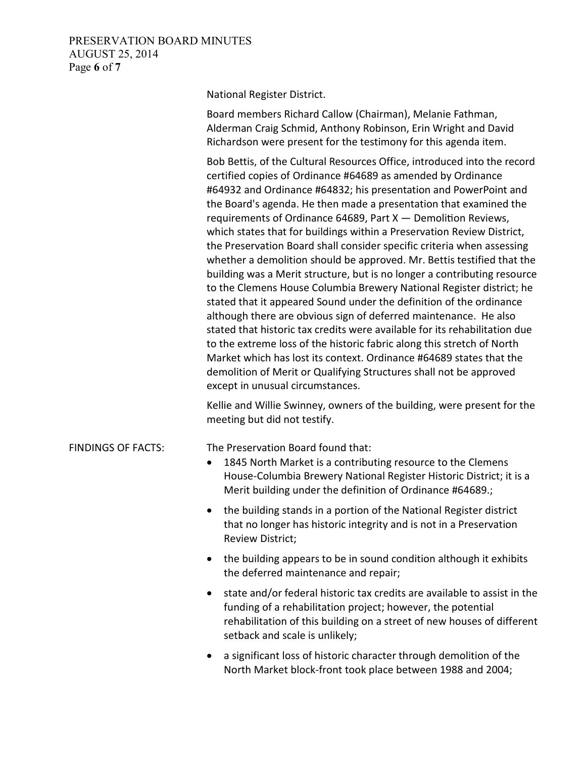### PRESERVATION BOARD MINUTES AUGUST 25, 2014 Page **6** of **7**

National Register District.

Board members Richard Callow (Chairman), Melanie Fathman, Alderman Craig Schmid, Anthony Robinson, Erin Wright and David Richardson were present for the testimony for this agenda item.

Bob Bettis, of the Cultural Resources Office, introduced into the record certified copies of Ordinance #64689 as amended by Ordinance #64932 and Ordinance #64832; his presentation and PowerPoint and the Board's agenda. He then made a presentation that examined the requirements of Ordinance 64689, Part  $X -$  Demolition Reviews, which states that for buildings within a Preservation Review District, the Preservation Board shall consider specific criteria when assessing whether a demolition should be approved. Mr. Bettis testified that the building was a Merit structure, but is no longer a contributing resource to the Clemens House Columbia Brewery National Register district; he stated that it appeared Sound under the definition of the ordinance although there are obvious sign of deferred maintenance. He also stated that historic tax credits were available for its rehabilitation due to the extreme loss of the historic fabric along this stretch of North Market which has lost its context. Ordinance #64689 states that the demolition of Merit or Qualifying Structures shall not be approved except in unusual circumstances.

Kellie and Willie Swinney, owners of the building, were present for the meeting but did not testify.

#### FINDINGS OF FACTS: The Preservation Board found that:

- 1845 North Market is a contributing resource to the Clemens House-Columbia Brewery National Register Historic District; it is a Merit building under the definition of Ordinance #64689.;
- the building stands in a portion of the National Register district that no longer has historic integrity and is not in a Preservation Review District;
- the building appears to be in sound condition although it exhibits the deferred maintenance and repair;
- state and/or federal historic tax credits are available to assist in the funding of a rehabilitation project; however, the potential rehabilitation of this building on a street of new houses of different setback and scale is unlikely;
- a significant loss of historic character through demolition of the North Market block-front took place between 1988 and 2004;